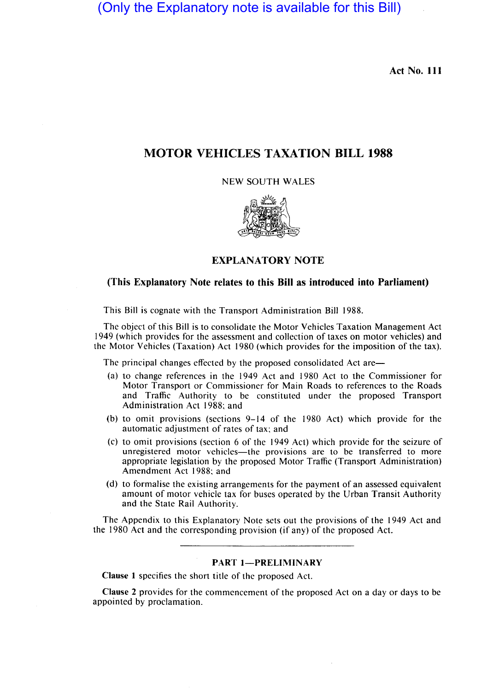(Only the Explanatory note is available for this Bill)

Act No. III

# MOTOR VEHICLES TAXATION BILL 1988

NEW SOUTH WALES



# EXPLANATORY NOTE

## (This Explanatory Note relates to this Bill as introduced into Parliament)

This Bill is cognate with the Transport Administration Bill 1988.

The object of this Bill is to consolidate the Motor Vehicles Taxation Management Act 1949 (which provides for the assessment and collection of taxes on motor vehicles) and the Motor Vehicles (Taxation) Act 1980 (which provides for the imposition of the tax).

The principal changes effected by the proposed consolidated Act are—

- (a) to change references in the 1949 Act and 1980 Act to the Commissioner for Motor Transport or Commissioner for Main Roads to references to the Roads and Traffic Authority to be constituted under the proposed Transport Administration Act 1988; and
- (b) to omit provisions (sections 9-14 of the 1980 Act) which provide for the automatic adjustment of rates of tax; and
- (c) to omit provisions (section 6 of the 1949 Act) which provide for the seizure of unregistered motor vehicles-the provisions are to be transferred to more appropriate legislation by the proposed Motor Traffic (Transport Administration) Amendment Act 1988; and
- (d) to formalise the existing arrangements for the payment of an assessed equivalent amount of motor vehicle tax for buses operated by the Urban Transit Authority and the State Rail Authority.

The Appendix to this Explanatory Note sets out the provisions of the 1949 Act and the 1980 Act and the corresponding provision (if any) of the proposed Act.

#### PART 1-PRELIMINARY

Clause 1 specifies the short title of the proposed Act.

Clause 2 provides for the commencement of the proposed Act on a day or days to be appointed by proclamation.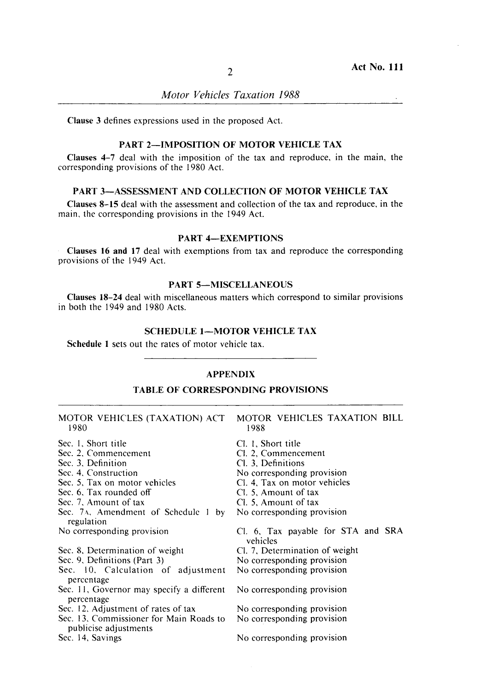*Motor Vehicles Taxation 1988* 

Clause 3 defines expressions used in the proposed Act.

# PART 2-IMPOSITION OF MOTOR VEHICLE TAX

Clauses 4-7 deal with the impositioh of the tax and reproduce, in the main, the corresponding provisions of the 1980 Act.

## PART 3-ASSESSMENT AND COLLECTION OF MOTOR VEHICLE TAX

Clauses 8-15 deal with the assessment and collection of the tax and reproduce, in the main, the corresponding provisions in the 1949 Act.

#### PART 4-EXEMPTIONS

Clauses 16 and 17 deal with exemptibns from tax and reproduce the corresponding provisions of the 1949 Act.

# PART 5-MISCELLANEOUS

Clauses 18-24 deal with miscellaneous matters which correspond to similar provisions in both the 1949 and 1980 Acts.

## SCHEDULE 1-MOTOR VEHICLE TAX

Schedule 1 sets out the rates of motor vehicle tax.

# **APPENDIX**

**I** 

 $\overline{a}$ 

#### TABLE OF CORRESPONDING PROVISIONS

| MOTOR VEHICLES (TAXATION) ACT<br>1980                            | MOTOR VEHICLES TAXATION BILL<br>1988           |
|------------------------------------------------------------------|------------------------------------------------|
| Sec. 1, Short title                                              | Cl. 1, Short title                             |
| Sec. 2, Commencement                                             | Cl. 2, Commencement                            |
| Sec. 3. Definition                                               | Cl. 3, Definitions                             |
| Sec. 4. Construction                                             | No corresponding provision                     |
| Sec. 5, Tax on motor vehicles                                    | CI. 4. Tax on motor vehicles                   |
| Sec. 6. Tax rounded off                                          | Cl. 5, Amount of tax                           |
| Sec. 7, Amount of tax                                            | Cl. 5, Amount of tax                           |
| Sec. 7A, Amendment of Schedule 1 by                              | No corresponding provision                     |
| regulation                                                       |                                                |
| No corresponding provision                                       | Cl. 6, Tax payable for STA and SRA<br>vehicles |
| Sec. 8, Determination of weight                                  | Cl. 7, Determination of weight                 |
| Sec. 9, Definitions (Part 3)                                     | No corresponding provision                     |
| Sec. 10, Calculation of adjustment<br>percentage                 | No corresponding provision                     |
| Sec. 11, Governor may specify a different<br>percentage          | No corresponding provision                     |
| Sec. 12, Adjustment of rates of tax                              | No corresponding provision                     |
| Sec. 13, Commissioner for Main Roads to<br>publicise adjustments | No corresponding provision                     |
| Sec. 14, Savings                                                 | No corresponding provision                     |
|                                                                  |                                                |